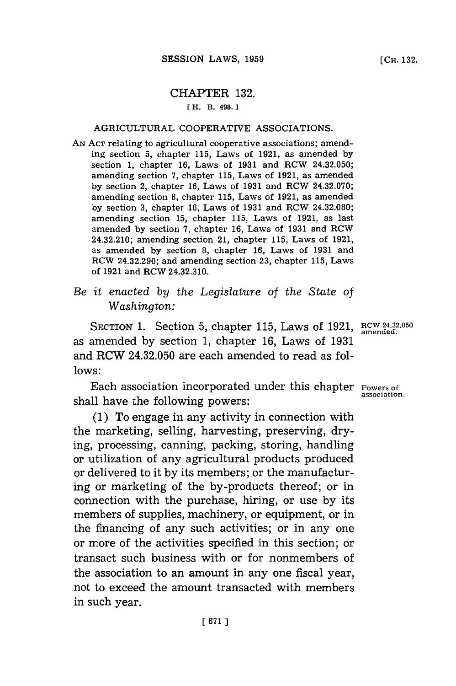# CHAPTER **132.**

## [ H. B. 498.]

#### AGRICULTURAL COOPERATIVE ASSOCIATIONS.

**AN ACT** relating to agricultural cooperative associations; amending section **5,** chapter **115,** Laws of **1921,** as amended **by** section **1,** chapter **16,** Laws of **1931** and RCW 24.32.050; amending section **7,** chapter **115,** Laws of **1921,** as amended **by** section 2, chapter **16,** Laws of **1931** and RCW 24.32.070; amending section **8,** chapter **115,** Laws of **1921,** as amended **by** section **3,** chapter **16,** Laws of **1931** and RCW 24.32.080; amending section **15,** chapter **115,** Laws of **1921,** as last amended **by** section **7,** chapter **16,** Laws of **1931** and RCW 24.32.210; amending section 21, chapter **115,** Laws of **1921,** as amended **by** section **8,** chapter **16,** Laws of **1931** and RCW 24.32.290; and amending section **23,** chapter **115,** Laws of **1921** and RCW 24.32.310.

*Be it enacted by the Legislature of the State of Washington:*

SECTION 1. Section 5, chapter 115, Laws of 1921, RCW 24.32.050 as amended **by** section **1,** chapter **16,** Laws of **1931** and RCW 24.32.050 are each amended to read as fol**lows:**

Each association incorporated under this chapter  $P_{\text{overs of}}$  association. shall have the following powers:

**(1)** To engage in any activity in connection with the marketing, selling, harvesting, preserving, drying, processing, canning, packing, storing, handling or utilization of any agricultural products produced or delivered to it **by** its members; or the manufacturing or marketing of the by-products thereof; or in connection with the purchase, hiring, or use **by** its members of supplies, machinery, or equipment, or in the financing of any such activities; or in any one or more of the activities specified in this section; or transact such business with or for nonmembers of the association to an amount in any one fiscal year, not to exceed the amount transacted with members in such year.

**[CH. 132.**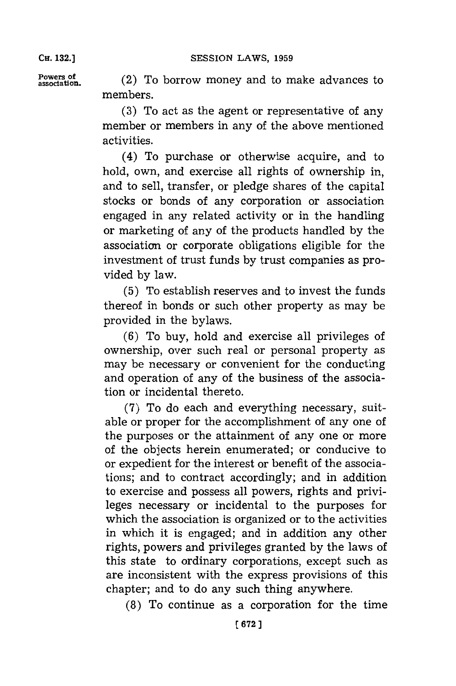**CH. 132.]**

**Powers of** (2) To borrow money and to make advances to association. members.

> **(3)** To act as the agent or representative of any member or members in any of the above mentioned activities.

> (4) To purchase or otherwise acquire, and to hold, own, and exercise all rights of ownership in, and to sell, transfer, or pledge shares of the capital stocks or bonds of any corporation or association engaged in any related activity or in the handling or marketing of any of the products handled **by** the association or corporate obligations eligible for the investment of trust funds **by** trust companies as provided **by** law.

> **(5)** To establish reserves and to invest the funds thereof in bonds or such other property as may be provided in the bylaws.

> **(6)** To buy, hold and exercise all privileges of ownership, over such real or personal property as may be necessary or convenient for the conducting and operation of any of the business of the association or incidental thereto.

> **(7)** To do each and everything necessary, suitable or proper **for** the accomplishment of any one of the purposes or the attainment of any one or more of the objects herein enumerated; or conducive to or expedient for the interest or benefit of the associations; and to contract accordingly; and in addition to exercise and possess all powers, rights and privileges necessary or incidental to the purposes for which the association is organized or to the activities in which it is engaged; and in addition any other rights, powers and privileges granted **by** the laws of this state to ordinary corporations, except such as are inconsistent with the express provisions of this chapter; and to do any such thing anywhere.

**(8)** To continue as a corporation for the time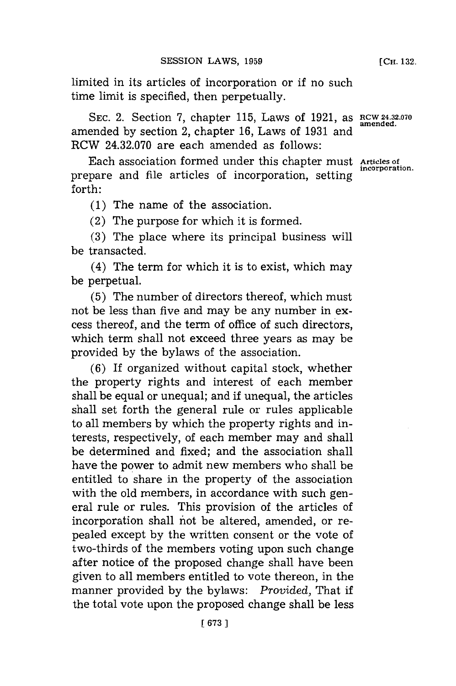limited in its articles of incorporation or if no such time limit is specified, then perpetually.

SEC. 2. Section 7, chapter 115, Laws of 1921, as RCW 24.32.070 amended **by** section 2, chapter **16,** Laws of **1931** and RCW 24.32.070 are each amended as follows:

Each association formed under this chapter must **Articles of** prepare and file articles of incorporation, setting forth:

**(1)** The name of the association.

(2) The purpose for which it is formed.

**(3)** The place where its principal business will be transacted.

(4) The term **for** which it is to exist, which may be perpetual.

**(5)** The number of directors thereof, which must not be less than five and may be any number in **ex**cess thereof, and the term of office of such directors, which term shall not exceed three years as may be provided **by** the bylaws of the association.

**(6)** If organized without capital stock, whether the property rights and interest of each member shall be equal or unequal; and if unequal, the articles shall set forth the general rule or rules applicable to all members **by** which the property rights and interests, respectively, of each member may and shall be determined and fixed; and the association shall have the power to admit new members who shall be entitled to share in the property of the association with the old members, in accordance with such general rule or rules. This provision of the articles of incorporation shall not be altered, amended, or repealed except **by** the written consent or the vote of two-thirds of the members voting upon such change after notice of the proposed change shall have been given to all members entitled to vote thereon, in the manner provided **by** the bylaws: *Provided,* That if the total vote upon the proposed change shall be less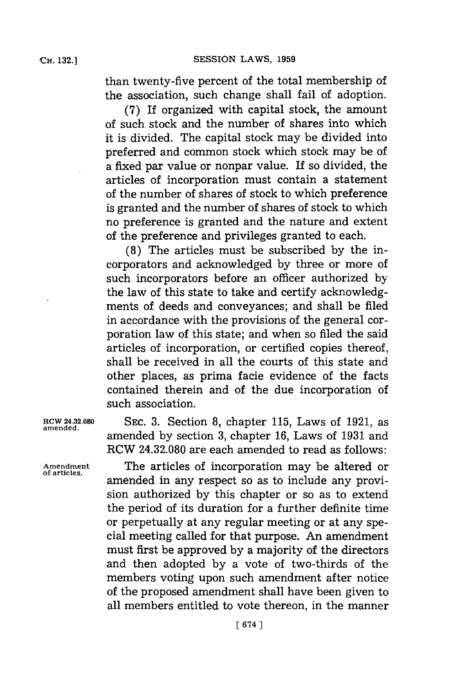**CH. 132.]**

than twenty-five percent of the total membership of the association, such change shall fail of adoption.

**(7)** If organized with capital stock, the amount of such stock and the number of shares into which it is divided. The capital stock may be divided into preferred and common stock which stock may be of a fixed par value or nonpar value. If so divided, the articles of incorporation must contain a statement of the number of shares of stock to which preference is granted and the number of shares of stock to which no preference is granted and the nature and extent of the preference and privileges granted to each.

**(8)** The articles must be subscribed **by** the incorporators and acknowledged **by** three or more of such incorporators before an officer authorized **by** the law of this state to take and certify acknowledgments of deeds and conveyances; and shall be filed in accordance with the provisions of the general corporation law of this state; and when so filed the said articles of incorporation, or certified copies thereof, shall be received in all the courts of this state and other places, as prima facie evidence of the facts contained therein and of the due incorporation of such association.

**RCW 24.32.080 SEC. 3.** Section **8,** chapter **115,** Laws of **1921,** as amended **by** section **3,** chapter **16,** Laws of **1931** and RCW 24.32.080 are each amended to read as follows:

**Amendment** The articles of incorporation may be altered or amended in any respect so as to include any provision authorized **by** this chapter or so as to extend the period of its duration for a further definite time or perpetually at any regular meeting or at any special meeting called for that purpose. An amendment must first be approved **by** a majority of the directors and then adopted **by** a vote of two-thirds of the members voting upon such amendment after notice of the proposed amendment shall have been given to all members entitled to vote thereon, in the manner

**amended.**

**of articles.**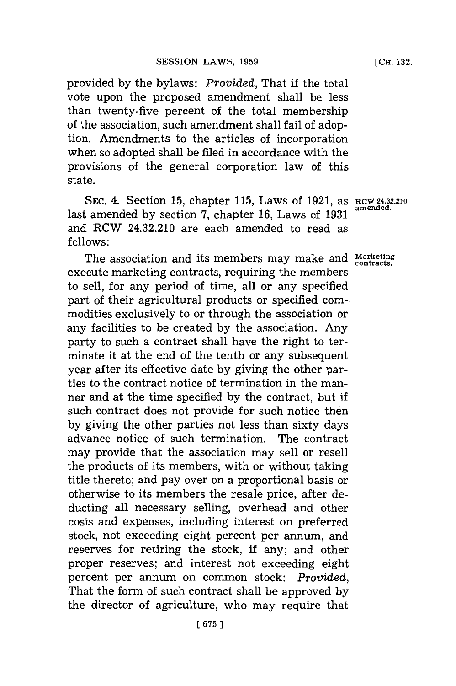provided **by** the bylaws: *Provided,* That **if** the total vote upon the proposed amendment shall be less than twenty-five percent of the total membership of the association, such amendment shall fail of adoption. Amendments to the articles of incorporation when so adopted shall be filed in accordance with the provisions of the general corporation law of this state.

**SEC.** 4. Section **15,** chapter **115,** Laws of **1921,** as **RCW 24.32.210** last amended **by** section **7,** chapter **16,** Laws of **1931** and RCW 24.32.210 are each amended to read as **follows:**

The association and its members may make and **Marketing contracts.** execute marketing contracts, requiring the members to sell, for any period of time, all or any specified part of their agricultural products or specified commodities exclusively to or through the association or any facilities to be created **by** the association. Any party to such a contract shall have the right to terminate it at the end of the tenth or any subsequent year after its effective date **by** giving the other parties to the contract notice of termination in the manner and at the time specified **by** the contract, but if such contract does not provide for such notice then. **by** giving the other parties not less than sixty days advance notice of such termination. The contract may provide that the association may sell or resell the products of its members, with or without taking title thereto; and pay over on a proportional basis or otherwise to its members the resale price, after deducting all necessary selling, overhead and other costs and expenses, including interest on preferred stock, not exceeding eight percent per annum, and reserves for retiring the stock, **if** any; and other proper reserves; and interest not exceeding eight percent per annum on common stock: *Provided,* That the form of such contract shall be approved **by** the director of agriculture, who may require that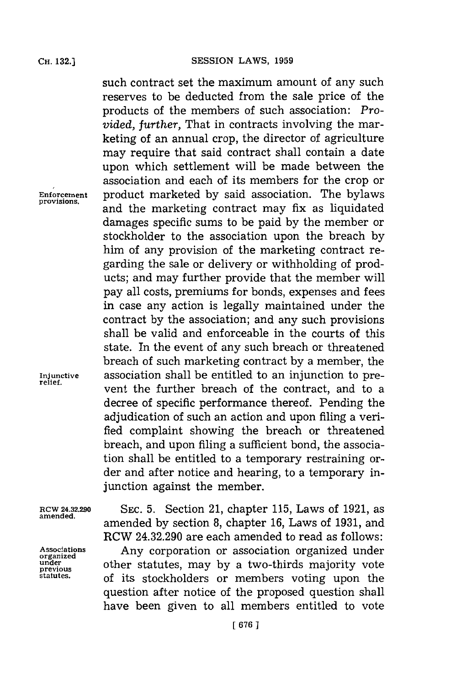**organized**

such contract set the maximum amount of any such reserves to be deducted from the sale price of the products of the members of such association: *Provided, further, That in contracts involving the mar*keting of an annual crop, the director of agriculture may require that said contract shall contain a date upon which settlement will be made between the association and each of its members for the crop or **Enforcement** product marketed **by** said association. The bylaws **provisions,** and the marketing contract may fix as liquidated damages specific sums to be paid **by** the member or stockholder to the association upon the breach **by** him of any provision of the marketing contract regarding the sale or delivery or withholding of products; and may further provide that the member will pay all costs, premiums for bonds, expenses and fees in case any action is legally maintained under the contract **by** the association; and any such provisions shall be valid and enforceable in the courts of this state. In the event of any such breach or threatened breach of such marketing contract **by** a member, the **Injunctive** association shall be entitled to an injunction to prevent the further breach of the contract, and to a decree of specific performance thereof. Pending the adjudication of such an action and upon filing a verified complaint showing the breach or threatened breach, and upon filing a sufficient bond, the association shall be entitled to a temporary restraining order and after notice and hearing, to a temporary injunction against the member.

**RCW 24.32.290 SEC. 5.** Section 21, chapter **115,** Laws of **1921,** as amended by section 8, chapter 16, Laws of 1931, and RCW 24.32.290 are each amended to read as follows: **Associations** Any corporation or association organized under **under** other statutes, may by a two-thirds majority vote previous can explore that the statutes. **statutes,** of its stockholders or members voting upon the question after notice of the proposed question shall have been given to all members entitled to vote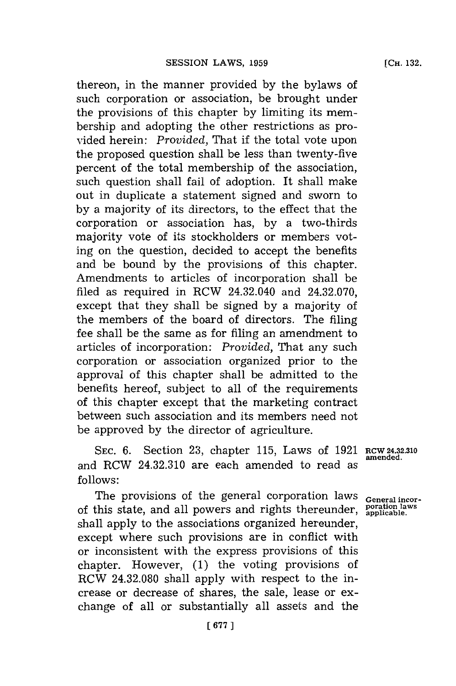thereon, in the manner provided **by** the bylaws of such corporation or association, be brought under the provisions of this chapter **by** limiting its membership and adopting the other restrictions as provided herein: *Provided,* That if the total vote upon the proposed question shall be less than twenty-five percent of the total membership of the association, such question shall fail of adoption. It shall make out in duplicate a statement signed and sworn to **by** a majority of its directors, to the effect that the corporation or association has, **by** a two-thirds majority vote of its stockholders or members voting on the question, decided to accept the benefits and be bound **by** the provisions of this chapter. Amendments to articles of incorporation shall be filed as required in RCW 24.32.040 and 24.32.070, except that they shall be signed **by** a majority of the members of the board of directors. The filing fee shall be the same as for filing an amendment to articles of incorporation: *Provided,* That any such corporation or association organized prior to the approval of this chapter shall be admitted to the benefits hereof, subject to all of the requirements of this chapter except that the marketing contract between such association and its members need not be approved **by** the director of agriculture.

SEC. 6. Section 23, chapter 115, Laws of 1921 RCW 24.32.310 amended. and RCW 24.32.310 are each amended to read as **follows:**

The provisions of the general corporation laws of this state, and all powers and rights thereunder, **poration laws applicable.** shall apply to the associations organized hereunder, except where such provisions are in conflict with or inconsistent with the express provisions of this chapter. However, **(1)** the voting provisions of RCW 24.32.080 shall apply with respect to the increase or decrease of shares, the sale, lease or exchange of all or substantially all assets and the

**General incor-**